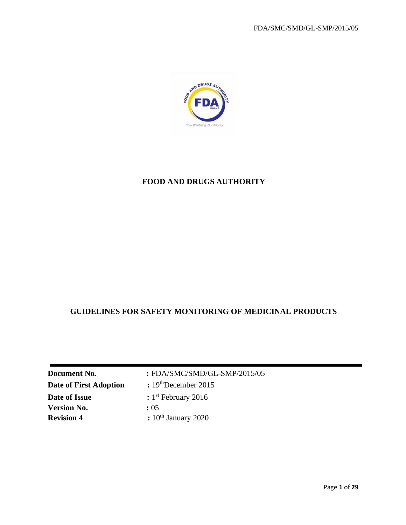

# **FOOD AND DRUGS AUTHORITY**

# **GUIDELINES FOR SAFETY MONITORING OF MEDICINAL PRODUCTS**

| <b>Document No.</b>    | : FDA/SMC/SMD/GL-SMP/2015/05 |
|------------------------|------------------------------|
| Date of First Adoption | $: 19th$ December 2015       |
| Date of Issue          | $: 1st$ February 2016        |
| <b>Version No.</b>     | : 0.5                        |
| <b>Revision 4</b>      | $: 10th$ January 2020        |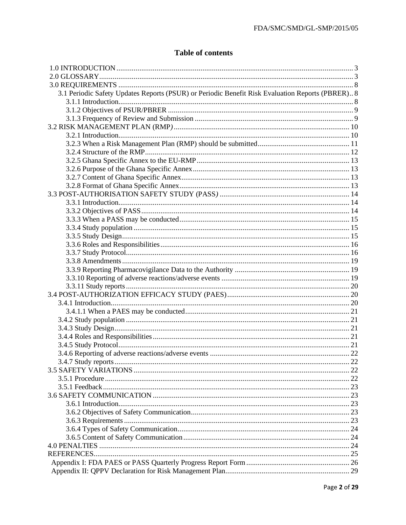# **Table of contents**

| 3.1 Periodic Safety Updates Reports (PSUR) or Periodic Benefit Risk Evaluation Reports (PBRER) 8 |  |
|--------------------------------------------------------------------------------------------------|--|
|                                                                                                  |  |
|                                                                                                  |  |
|                                                                                                  |  |
|                                                                                                  |  |
|                                                                                                  |  |
|                                                                                                  |  |
|                                                                                                  |  |
|                                                                                                  |  |
|                                                                                                  |  |
|                                                                                                  |  |
|                                                                                                  |  |
|                                                                                                  |  |
|                                                                                                  |  |
|                                                                                                  |  |
|                                                                                                  |  |
|                                                                                                  |  |
|                                                                                                  |  |
|                                                                                                  |  |
|                                                                                                  |  |
|                                                                                                  |  |
|                                                                                                  |  |
|                                                                                                  |  |
|                                                                                                  |  |
|                                                                                                  |  |
|                                                                                                  |  |
|                                                                                                  |  |
|                                                                                                  |  |
|                                                                                                  |  |
|                                                                                                  |  |
|                                                                                                  |  |
|                                                                                                  |  |
|                                                                                                  |  |
|                                                                                                  |  |
|                                                                                                  |  |
|                                                                                                  |  |
|                                                                                                  |  |
|                                                                                                  |  |
|                                                                                                  |  |
|                                                                                                  |  |
|                                                                                                  |  |
|                                                                                                  |  |
|                                                                                                  |  |
|                                                                                                  |  |
|                                                                                                  |  |
|                                                                                                  |  |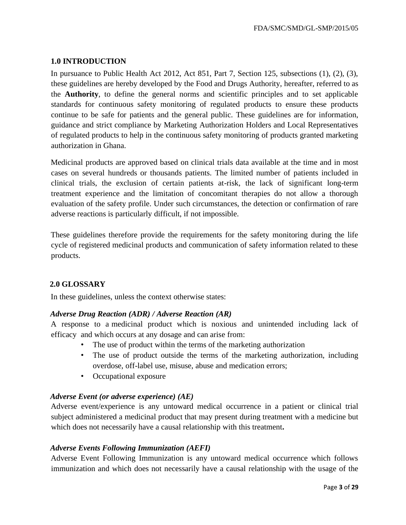## <span id="page-2-0"></span>**1.0 INTRODUCTION**

In pursuance to Public Health Act 2012, Act 851, Part 7, Section 125, subsections (1), (2), (3), these guidelines are hereby developed by the Food and Drugs Authority, hereafter, referred to as the **Authority**, to define the general norms and scientific principles and to set applicable standards for continuous safety monitoring of regulated products to ensure these products continue to be safe for patients and the general public. These guidelines are for information, guidance and strict compliance by Marketing Authorization Holders and Local Representatives of regulated products to help in the continuous safety monitoring of products granted marketing authorization in Ghana.

Medicinal products are approved based on clinical trials data available at the time and in most cases on several hundreds or thousands patients. The limited number of patients included in clinical trials, the exclusion of certain patients at-risk, the lack of significant long-term treatment experience and the limitation of concomitant therapies do not allow a thorough evaluation of the safety profile. Under such circumstances, the detection or confirmation of rare adverse reactions is particularly difficult, if not impossible.

These guidelines therefore provide the requirements for the safety monitoring during the life cycle of registered medicinal products and communication of safety information related to these products.

#### <span id="page-2-1"></span>**2.0 GLOSSARY**

In these guidelines, unless the context otherwise states:

#### *Adverse Drug Reaction (ADR) / Adverse Reaction (AR)*

A response to a medicinal product which is noxious and unintended including lack of efficacy and which occurs at any dosage and can arise from:

- The use of product within the terms of the marketing authorization
- The use of product outside the terms of the marketing authorization, including overdose, off-label use, misuse, abuse and medication errors;
- Occupational exposure

#### *Adverse Event (or adverse experience) (AE)*

Adverse event/experience is any untoward medical occurrence in a patient or clinical trial subject administered a medicinal product that may present during treatment with a medicine but which does not necessarily have a causal relationship with this treatment**.** 

#### *Adverse Events Following Immunization (AEFI)*

Adverse Event Following Immunization is any untoward medical occurrence which follows immunization and which does not necessarily have a causal relationship with the usage of the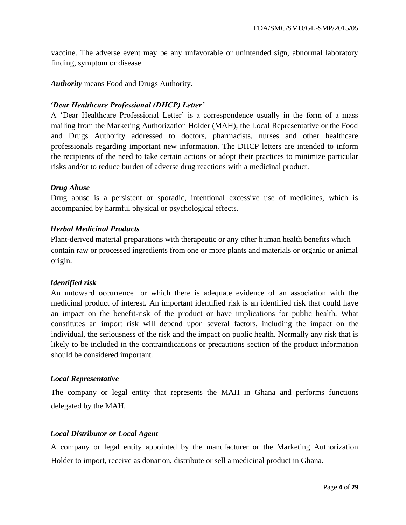vaccine. The adverse event may be any unfavorable or unintended sign, abnormal laboratory finding, symptom or disease.

*Authority* means Food and Drugs Authority.

## *'Dear Healthcare Professional (DHCP) Letter'*

A 'Dear Healthcare Professional Letter' is a correspondence usually in the form of a mass mailing from the Marketing Authorization Holder (MAH), the Local Representative or the Food and Drugs Authority addressed to doctors, pharmacists, nurses and other healthcare professionals regarding important new information. The DHCP letters are intended to inform the recipients of the need to take certain actions or adopt their practices to minimize particular risks and/or to reduce burden of adverse drug reactions with a medicinal product.

#### *Drug Abuse*

Drug abuse is a persistent or sporadic, intentional excessive use of medicines, which is accompanied by harmful physical or psychological effects.

## *Herbal Medicinal Products*

Plant-derived material preparations with therapeutic or any other human health benefits which contain raw or processed ingredients from one or more plants and materials or organic or animal origin.

#### *Identified risk*

An untoward occurrence for which there is adequate evidence of an association with the medicinal product of interest. An important identified risk is an identified risk that could have an impact on the benefit-risk of the product or have implications for public health. What constitutes an import risk will depend upon several factors, including the impact on the individual, the seriousness of the risk and the impact on public health. Normally any risk that is likely to be included in the contraindications or precautions section of the product information should be considered important.

#### *Local Representative*

The company or legal entity that represents the MAH in Ghana and performs functions delegated by the MAH.

#### *Local Distributor or Local Agent*

A company or legal entity appointed by the manufacturer or the Marketing Authorization Holder to import, receive as donation, distribute or sell a medicinal product in Ghana.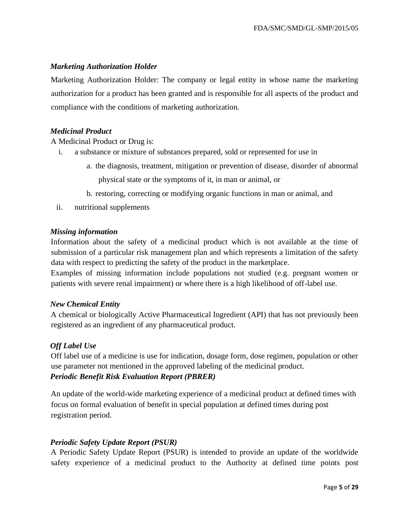### *Marketing Authorization Holder*

Marketing Authorization Holder: The company or legal entity in whose name the marketing authorization for a product has been granted and is responsible for all aspects of the product and compliance with the conditions of marketing authorization.

#### *Medicinal Product*

A Medicinal Product or Drug is:

- i. a substance or mixture of substances prepared, sold or represented for use in
	- a. the diagnosis, treatment, mitigation or prevention of disease, disorder of abnormal physical state or the symptoms of it, in man or animal, or
	- b. restoring, correcting or modifying organic functions in man or animal, and
- ii. nutritional supplements

#### *Missing information*

Information about the safety of a medicinal product which is not available at the time of submission of a particular risk management plan and which represents a limitation of the safety data with respect to predicting the safety of the product in the marketplace.

Examples of missing information include populations not studied (e.g. pregnant women or patients with severe renal impairment) or where there is a high likelihood of off-label use.

#### *New Chemical Entity*

A chemical or biologically Active Pharmaceutical Ingredient (API) that has not previously been registered as an ingredient of any pharmaceutical product.

#### *Off Label Use*

Off label use of a medicine is use for indication, dosage form, dose regimen, population or other use parameter not mentioned in the approved labeling of the medicinal product. *Periodic Benefit Risk Evaluation Report (PBRER)* 

An update of the world-wide marketing experience of a medicinal product at defined times with focus on formal evaluation of benefit in special population at defined times during post registration period.

#### *Periodic Safety Update Report (PSUR)*

A Periodic Safety Update Report (PSUR) is intended to provide an update of the worldwide safety experience of a medicinal product to the Authority at defined time points post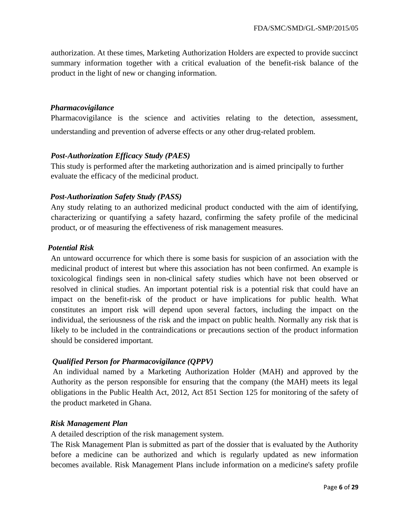authorization. At these times, Marketing Authorization Holders are expected to provide succinct summary information together with a critical evaluation of the benefit-risk balance of the product in the light of new or changing information.

#### *Pharmacovigilance*

Pharmacovigilance is the science and activities relating to the detection, assessment, understanding and prevention of adverse effects or any other drug-related problem.

#### *Post-Authorization Efficacy Study (PAES)*

This study is performed after the marketing authorization and is aimed principally to further evaluate the efficacy of the medicinal product.

#### *Post-Authorization Safety Study (PASS)*

Any study relating to an authorized medicinal product conducted with the aim of identifying, characterizing or quantifying a safety hazard, confirming the safety profile of the medicinal product, or of measuring the effectiveness of risk management measures.

#### *Potential Risk*

An untoward occurrence for which there is some basis for suspicion of an association with the medicinal product of interest but where this association has not been confirmed. An example is toxicological findings seen in non-clinical safety studies which have not been observed or resolved in clinical studies. An important potential risk is a potential risk that could have an impact on the benefit-risk of the product or have implications for public health. What constitutes an import risk will depend upon several factors, including the impact on the individual, the seriousness of the risk and the impact on public health. Normally any risk that is likely to be included in the contraindications or precautions section of the product information should be considered important.

#### *Qualified Person for Pharmacovigilance (QPPV)*

An individual named by a Marketing Authorization Holder (MAH) and approved by the Authority as the person responsible for ensuring that the company (the MAH) meets its legal obligations in the Public Health Act, 2012, Act 851 Section 125 for monitoring of the safety of the product marketed in Ghana.

#### *Risk Management Plan*

A detailed description of the risk management system.

The Risk Management Plan is submitted as part of the dossier that is evaluated by the Authority before a medicine can be authorized and which is regularly updated as new information becomes available. Risk Management Plans include information on a medicine's safety profile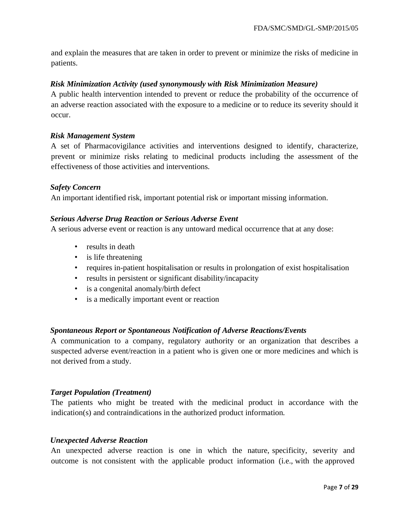and explain the measures that are taken in order to prevent or minimize the risks of medicine in patients.

#### *Risk Minimization Activity (used synonymously with Risk Minimization Measure)*

A public health intervention intended to prevent or reduce the probability of the occurrence of an adverse reaction associated with the exposure to a medicine or to reduce its severity should it occur.

#### *Risk Management System*

A set of Pharmacovigilance activities and interventions designed to identify, characterize, prevent or minimize risks relating to medicinal products including the assessment of the effectiveness of those activities and interventions.

#### *Safety Concern*

An important identified risk, important potential risk or important missing information.

#### *Serious Adverse Drug Reaction or Serious Adverse Event*

A serious adverse event or reaction is any untoward medical occurrence that at any dose:

- results in death
- is life threatening
- requires in-patient hospitalisation or results in prolongation of exist hospitalisation
- results in persistent or significant disability/incapacity
- is a congenital anomaly/birth defect
- is a medically important event or reaction

#### *Spontaneous Report or Spontaneous Notification of Adverse Reactions/Events*

A communication to a company, regulatory authority or an organization that describes a suspected adverse event/reaction in a patient who is given one or more medicines and which is not derived from a study.

#### *Target Population (Treatment)*

The patients who might be treated with the medicinal product in accordance with the indication(s) and contraindications in the authorized product information.

#### *Unexpected Adverse Reaction*

An unexpected adverse reaction is one in which the nature, specificity, severity and outcome is not consistent with the applicable product information (i.e., with the approved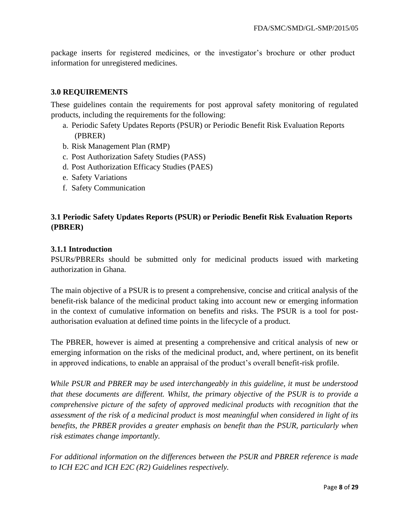package inserts for registered medicines, or the investigator's brochure or other product information for unregistered medicines.

#### <span id="page-7-0"></span>**3.0 REQUIREMENTS**

These guidelines contain the requirements for post approval safety monitoring of regulated products, including the requirements for the following:

- a. Periodic Safety Updates Reports (PSUR) or Periodic Benefit Risk Evaluation Reports (PBRER)
- b. Risk Management Plan (RMP)
- c. Post Authorization Safety Studies (PASS)
- d. Post Authorization Efficacy Studies (PAES)
- e. Safety Variations
- f. Safety Communication

## <span id="page-7-1"></span>**3.1 Periodic Safety Updates Reports (PSUR) or Periodic Benefit Risk Evaluation Reports (PBRER)**

#### <span id="page-7-2"></span>**3.1.1 Introduction**

PSURs/PBRERs should be submitted only for medicinal products issued with marketing authorization in Ghana.

The main objective of a PSUR is to present a comprehensive, concise and critical analysis of the benefit-risk balance of the medicinal product taking into account new or emerging information in the context of cumulative information on benefits and risks. The PSUR is a tool for postauthorisation evaluation at defined time points in the lifecycle of a product.

The PBRER, however is aimed at presenting a comprehensive and critical analysis of new or emerging information on the risks of the medicinal product, and, where pertinent, on its benefit in approved indications, to enable an appraisal of the product's overall benefit-risk profile.

*While PSUR and PBRER may be used interchangeably in this guideline, it must be understood that these documents are different. Whilst, the primary objective of the PSUR is to provide a comprehensive picture of the safety of approved medicinal products with recognition that the assessment of the risk of a medicinal product is most meaningful when considered in light of its benefits, the PRBER provides a greater emphasis on benefit than the PSUR, particularly when risk estimates change importantly.* 

*For additional information on the differences between the PSUR and PBRER reference is made to ICH E2C and ICH E2C (R2) Guidelines respectively.*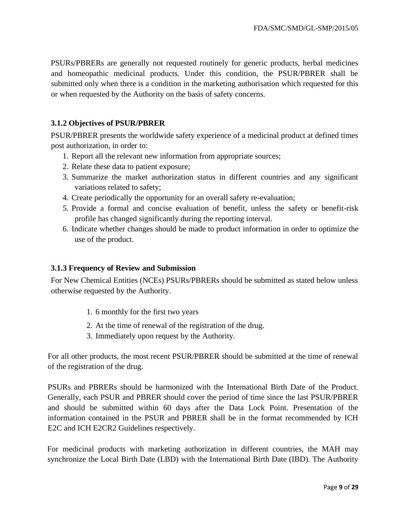PSURs/PBRERs are generally not requested routinely for generic products, herbal medicines and homeopathic medicinal products. Under this condition, the PSUR/PBRER shall be submitted only when there is a condition in the marketing authorisation which requested for this or when requested by the Authority on the basis of safety concerns.

## <span id="page-8-0"></span>**3.1.2 Objectives of PSUR/PBRER**

PSUR/PBRER presents the worldwide safety experience of a medicinal product at defined times post authorization, in order to:

- 1. Report all the relevant new information from appropriate sources;
- 2. Relate these data to patient exposure;
- 3. Summarize the market authorization status in different countries and any significant variations related to safety;
- 4. Create periodically the opportunity for an overall safety re-evaluation;
- 5. Provide a formal and concise evaluation of benefit, unless the safety or benefit-risk profile has changed significantly during the reporting interval.
- 6. Indicate whether changes should be made to product information in order to optimize the use of the product.

#### <span id="page-8-1"></span>**3.1.3 Frequency of Review and Submission**

For New Chemical Entities (NCEs) PSURs/PBRERs should be submitted as stated below unless otherwise requested by the Authority.

- 1. 6 monthly for the first two years
- 2. At the time of renewal of the registration of the drug.
- 3. Immediately upon request by the Authority.

For all other products, the most recent PSUR/PBRER should be submitted at the time of renewal of the registration of the drug.

PSURs and PBRERs should be harmonized with the International Birth Date of the Product. Generally, each PSUR and PBRER should cover the period of time since the last PSUR/PBRER and should be submitted within 60 days after the Data Lock Point. Presentation of the information contained in the PSUR and PBRER shall be in the format recommended by ICH E2C and ICH E2CR2 Guidelines respectively.

For medicinal products with marketing authorization in different countries, the MAH may synchronize the Local Birth Date (LBD) with the International Birth Date (IBD). The Authority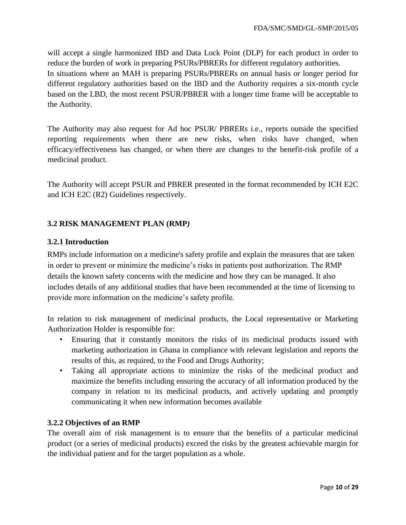will accept a single harmonized IBD and Data Lock Point (DLP) for each product in order to reduce the burden of work in preparing PSURs/PBRERs for different regulatory authorities. In situations where an MAH is preparing PSURs/PBRERs on annual basis or longer period for different regulatory authorities based on the IBD and the Authority requires a six-month cycle based on the LBD, the most recent PSUR/PBRER with a longer time frame will be acceptable to the Authority.

The Authority may also request for Ad hoc PSUR/ PBRERs i.e., reports outside the specified reporting requirements when there are new risks, when risks have changed, when efficacy/effectiveness has changed, or when there are changes to the benefit-risk profile of a medicinal product.

The Authority will accept PSUR and PBRER presented in the format recommended by ICH E2C and ICH E2C (R2) Guidelines respectively.

## <span id="page-9-0"></span>**3.2 RISK MANAGEMENT PLAN (RMP***)*

## <span id="page-9-1"></span>**3.2.1 Introduction**

RMPs include information on a medicine's safety profile and explain the measures that are taken in order to prevent or minimize the medicine's risks in patients post authorization. The RMP details the known safety concerns with the medicine and how they can be managed. It also includes details of any additional studies that have been recommended at the time of licensing to provide more information on the medicine's safety profile.

In relation to risk management of medicinal products, the Local representative or Marketing Authorization Holder is responsible for:

- Ensuring that it constantly monitors the risks of its medicinal products issued with marketing authorization in Ghana in compliance with relevant legislation and reports the results of this, as required, to the Food and Drugs Authority;
- Taking all appropriate actions to minimize the risks of the medicinal product and maximize the benefits including ensuring the accuracy of all information produced by the company in relation to its medicinal products, and actively updating and promptly communicating it when new information becomes available

#### **3.2.2 Objectives of an RMP**

The overall aim of risk management is to ensure that the benefits of a particular medicinal product (or a series of medicinal products) exceed the risks by the greatest achievable margin for the individual patient and for the target population as a whole.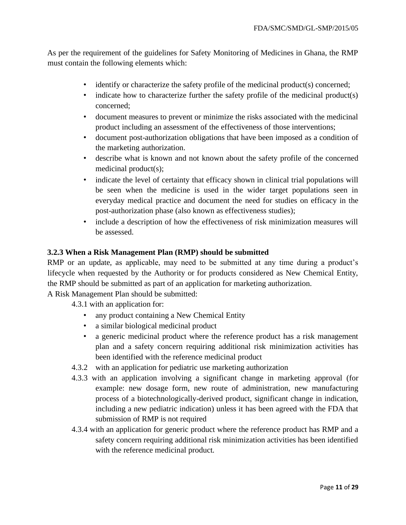As per the requirement of the guidelines for Safety Monitoring of Medicines in Ghana, the RMP must contain the following elements which:

- identify or characterize the safety profile of the medicinal product(s) concerned;
- indicate how to characterize further the safety profile of the medicinal product(s) concerned;
- document measures to prevent or minimize the risks associated with the medicinal product including an assessment of the effectiveness of those interventions;
- document post-authorization obligations that have been imposed as a condition of the marketing authorization.
- describe what is known and not known about the safety profile of the concerned medicinal product(s);
- indicate the level of certainty that efficacy shown in clinical trial populations will be seen when the medicine is used in the wider target populations seen in everyday medical practice and document the need for studies on efficacy in the post-authorization phase (also known as effectiveness studies);
- include a description of how the effectiveness of risk minimization measures will be assessed.

#### <span id="page-10-0"></span>**3.2.3 When a Risk Management Plan (RMP) should be submitted**

RMP or an update, as applicable, may need to be submitted at any time during a product's lifecycle when requested by the Authority or for products considered as New Chemical Entity, the RMP should be submitted as part of an application for marketing authorization.

A Risk Management Plan should be submitted:

4.3.1 with an application for:

- any product containing a New Chemical Entity
- a similar biological medicinal product
- a generic medicinal product where the reference product has a risk management plan and a safety concern requiring additional risk minimization activities has been identified with the reference medicinal product
- 4.3.2 with an application for pediatric use marketing authorization
- 4.3.3 with an application involving a significant change in marketing approval (for example: new dosage form, new route of administration, new manufacturing process of a biotechnologically-derived product, significant change in indication, including a new pediatric indication) unless it has been agreed with the FDA that submission of RMP is not required
- 4.3.4 with an application for generic product where the reference product has RMP and a safety concern requiring additional risk minimization activities has been identified with the reference medicinal product.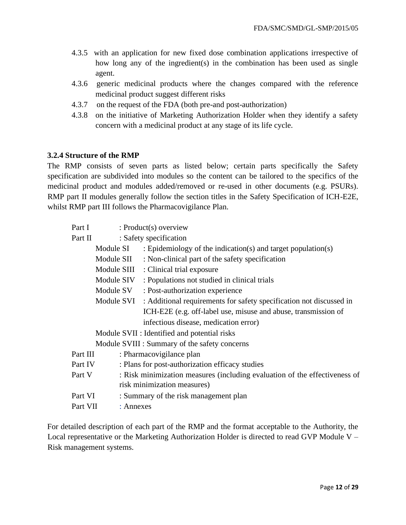- 4.3.5 with an application for new fixed dose combination applications irrespective of how long any of the ingredient(s) in the combination has been used as single agent.
- 4.3.6 generic medicinal products where the changes compared with the reference medicinal product suggest different risks
- 4.3.7 on the request of the FDA (both pre-and post-authorization)
- 4.3.8 on the initiative of Marketing Authorization Holder when they identify a safety concern with a medicinal product at any stage of its life cycle.

#### <span id="page-11-0"></span>**3.2.4 Structure of the RMP**

The RMP consists of seven parts as listed below; certain parts specifically the Safety specification are subdivided into modules so the content can be tailored to the specifics of the medicinal product and modules added/removed or re-used in other documents (e.g. PSURs). RMP part II modules generally follow the section titles in the Safety Specification of ICH-E2E, whilst RMP part III follows the Pharmacovigilance Plan.

| Part I   | $: Product(s)$ overview |                                                                            |
|----------|-------------------------|----------------------------------------------------------------------------|
| Part II  | : Safety specification  |                                                                            |
|          | Module SI               | : Epidemiology of the indication(s) and target population(s)               |
|          | Module SII              | : Non-clinical part of the safety specification                            |
|          |                         | Module SIII : Clinical trial exposure                                      |
|          | Module SIV              | : Populations not studied in clinical trials                               |
|          | Module SV               | : Post-authorization experience                                            |
|          | Module SVI              | : Additional requirements for safety specification not discussed in        |
|          |                         | ICH-E2E (e.g. off-label use, misuse and abuse, transmission of             |
|          |                         | infectious disease, medication error)                                      |
|          |                         | Module SVII : Identified and potential risks                               |
|          |                         | Module SVIII : Summary of the safety concerns                              |
| Part III |                         | : Pharmacovigilance plan                                                   |
| Part IV  |                         | : Plans for post-authorization efficacy studies                            |
| Part V   |                         | : Risk minimization measures (including evaluation of the effectiveness of |
|          |                         | risk minimization measures)                                                |
| Part VI  |                         | : Summary of the risk management plan                                      |
| Part VII | : Annexes               |                                                                            |

For detailed description of each part of the RMP and the format acceptable to the Authority, the Local representative or the Marketing Authorization Holder is directed to read GVP Module V – Risk management systems.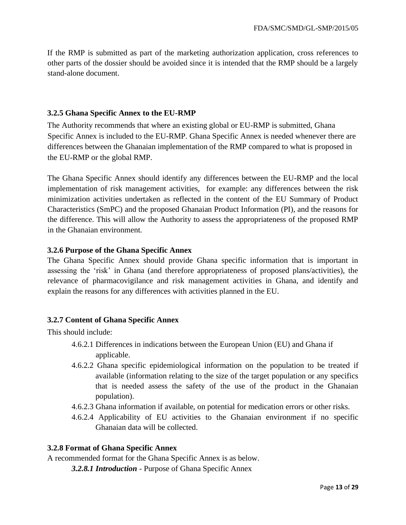If the RMP is submitted as part of the marketing authorization application, cross references to other parts of the dossier should be avoided since it is intended that the RMP should be a largely stand-alone document.

#### <span id="page-12-0"></span>**3.2.5 Ghana Specific Annex to the EU-RMP**

The Authority recommends that where an existing global or EU-RMP is submitted, Ghana Specific Annex is included to the EU-RMP. Ghana Specific Annex is needed whenever there are differences between the Ghanaian implementation of the RMP compared to what is proposed in the EU-RMP or the global RMP.

The Ghana Specific Annex should identify any differences between the EU-RMP and the local implementation of risk management activities, for example: any differences between the risk minimization activities undertaken as reflected in the content of the EU Summary of Product Characteristics (SmPC) and the proposed Ghanaian Product Information (PI), and the reasons for the difference. This will allow the Authority to assess the appropriateness of the proposed RMP in the Ghanaian environment.

## <span id="page-12-1"></span>**3.2.6 Purpose of the Ghana Specific Annex**

The Ghana Specific Annex should provide Ghana specific information that is important in assessing the 'risk' in Ghana (and therefore appropriateness of proposed plans/activities), the relevance of pharmacovigilance and risk management activities in Ghana, and identify and explain the reasons for any differences with activities planned in the EU.

## <span id="page-12-2"></span>**3.2.7 Content of Ghana Specific Annex**

This should include:

- 4.6.2.1 Differences in indications between the European Union (EU) and Ghana if applicable.
- 4.6.2.2 Ghana specific epidemiological information on the population to be treated if available (information relating to the size of the target population or any specifics that is needed assess the safety of the use of the product in the Ghanaian population).
- 4.6.2.3 Ghana information if available, on potential for medication errors or other risks.
- 4.6.2.4 Applicability of EU activities to the Ghanaian environment if no specific Ghanaian data will be collected.

#### <span id="page-12-3"></span>**3.2.8 Format of Ghana Specific Annex**

A recommended format for the Ghana Specific Annex is as below.

*3.2.8.1 Introduction* - Purpose of Ghana Specific Annex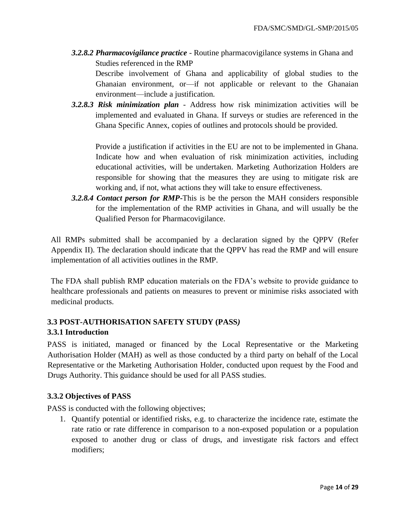*3.2.8.2 Pharmacovigilance practice* - Routine pharmacovigilance systems in Ghana and Studies referenced in the RMP

Describe involvement of Ghana and applicability of global studies to the Ghanaian environment, or—if not applicable or relevant to the Ghanaian environment—include a justification.

*3.2.8.3 Risk minimization plan* - Address how risk minimization activities will be implemented and evaluated in Ghana. If surveys or studies are referenced in the Ghana Specific Annex, copies of outlines and protocols should be provided.

Provide a justification if activities in the EU are not to be implemented in Ghana. Indicate how and when evaluation of risk minimization activities, including educational activities, will be undertaken. Marketing Authorization Holders are responsible for showing that the measures they are using to mitigate risk are working and, if not, what actions they will take to ensure effectiveness.

*3.2.8.4 Contact person for RMP***-**This is be the person the MAH considers responsible for the implementation of the RMP activities in Ghana, and will usually be the Qualified Person for Pharmacovigilance.

All RMPs submitted shall be accompanied by a declaration signed by the QPPV (Refer Appendix II). The declaration should indicate that the QPPV has read the RMP and will ensure implementation of all activities outlines in the RMP.

The FDA shall publish RMP education materials on the FDA's website to provide guidance to healthcare professionals and patients on measures to prevent or minimise risks associated with medicinal products.

## <span id="page-13-1"></span><span id="page-13-0"></span>**3.3 POST-AUTHORISATION SAFETY STUDY (PASS***)*  **3.3.1 Introduction**

PASS is initiated, managed or financed by the Local Representative or the Marketing Authorisation Holder (MAH) as well as those conducted by a third party on behalf of the Local Representative or the Marketing Authorisation Holder, conducted upon request by the Food and Drugs Authority. This guidance should be used for all PASS studies.

## <span id="page-13-2"></span>**3.3.2 Objectives of PASS**

PASS is conducted with the following objectives;

1. Quantify potential or identified risks, e.g. to characterize the incidence rate, estimate the rate ratio or rate difference in comparison to a non-exposed population or a population exposed to another drug or class of drugs, and investigate risk factors and effect modifiers;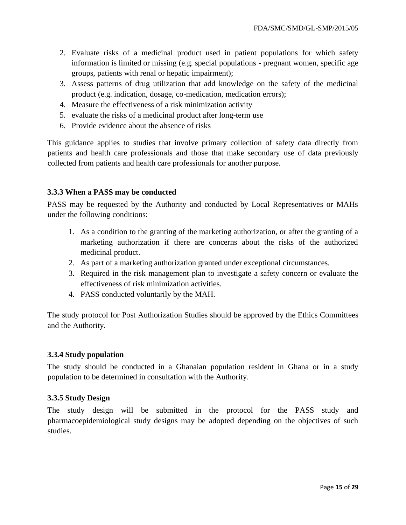- 2. Evaluate risks of a medicinal product used in patient populations for which safety information is limited or missing (e.g. special populations - pregnant women, specific age groups, patients with renal or hepatic impairment);
- 3. Assess patterns of drug utilization that add knowledge on the safety of the medicinal product (e.g. indication, dosage, co-medication, medication errors);
- 4. Measure the effectiveness of a risk minimization activity
- 5. evaluate the risks of a medicinal product after long-term use
- 6. Provide evidence about the absence of risks

This guidance applies to studies that involve primary collection of safety data directly from patients and health care professionals and those that make secondary use of data previously collected from patients and health care professionals for another purpose.

#### <span id="page-14-0"></span>**3.3.3 When a PASS may be conducted**

PASS may be requested by the Authority and conducted by Local Representatives or MAHs under the following conditions:

- 1. As a condition to the granting of the marketing authorization, or after the granting of a marketing authorization if there are concerns about the risks of the authorized medicinal product.
- 2. As part of a marketing authorization granted under exceptional circumstances.
- 3. Required in the risk management plan to investigate a safety concern or evaluate the effectiveness of risk minimization activities.
- 4. PASS conducted voluntarily by the MAH.

The study protocol for Post Authorization Studies should be approved by the Ethics Committees and the Authority.

#### <span id="page-14-1"></span>**3.3.4 Study population**

The study should be conducted in a Ghanaian population resident in Ghana or in a study population to be determined in consultation with the Authority.

#### <span id="page-14-2"></span>**3.3.5 Study Design**

The study design will be submitted in the protocol for the PASS study and pharmacoepidemiological study designs may be adopted depending on the objectives of such studies.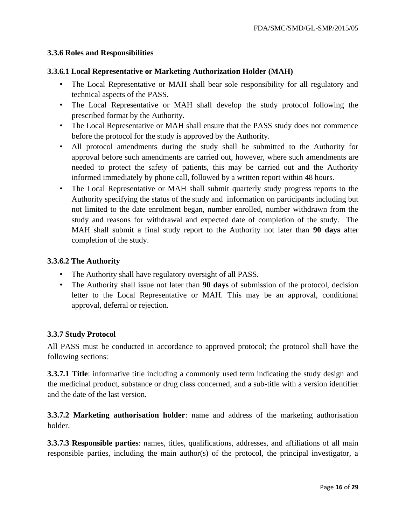#### <span id="page-15-0"></span>**3.3.6 Roles and Responsibilities**

#### **3.3.6.1 Local Representative or Marketing Authorization Holder (MAH)**

- The Local Representative or MAH shall bear sole responsibility for all regulatory and technical aspects of the PASS.
- The Local Representative or MAH shall develop the study protocol following the prescribed format by the Authority.
- The Local Representative or MAH shall ensure that the PASS study does not commence before the protocol for the study is approved by the Authority.
- All protocol amendments during the study shall be submitted to the Authority for approval before such amendments are carried out, however, where such amendments are needed to protect the safety of patients, this may be carried out and the Authority informed immediately by phone call, followed by a written report within 48 hours.
- The Local Representative or MAH shall submit quarterly study progress reports to the Authority specifying the status of the study and information on participants including but not limited to the date enrolment began, number enrolled, number withdrawn from the study and reasons for withdrawal and expected date of completion of the study. The MAH shall submit a final study report to the Authority not later than **90 days** after completion of the study.

#### **3.3.6.2 The Authority**

- The Authority shall have regulatory oversight of all PASS.
- The Authority shall issue not later than **90 days** of submission of the protocol, decision letter to the Local Representative or MAH. This may be an approval, conditional approval, deferral or rejection.

#### <span id="page-15-1"></span>**3.3.7 Study Protocol**

All PASS must be conducted in accordance to approved protocol; the protocol shall have the following sections:

**3.3.7.1 Title**: informative title including a commonly used term indicating the study design and the medicinal product, substance or drug class concerned, and a sub-title with a version identifier and the date of the last version.

**3.3.7.2 Marketing authorisation holder**: name and address of the marketing authorisation holder.

**3.3.7.3 Responsible parties**: names, titles, qualifications, addresses, and affiliations of all main responsible parties, including the main author(s) of the protocol, the principal investigator, a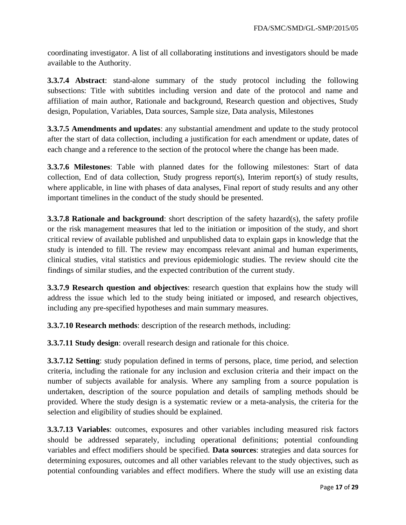coordinating investigator. A list of all collaborating institutions and investigators should be made available to the Authority.

**3.3.7.4 Abstract**: stand-alone summary of the study protocol including the following subsections: Title with subtitles including version and date of the protocol and name and affiliation of main author, Rationale and background, Research question and objectives, Study design, Population, Variables, Data sources, Sample size, Data analysis, Milestones

**3.3.7.5 Amendments and updates**: any substantial amendment and update to the study protocol after the start of data collection, including a justification for each amendment or update, dates of each change and a reference to the section of the protocol where the change has been made.

**3.3.7.6 Milestones**: Table with planned dates for the following milestones: Start of data collection, End of data collection, Study progress report(s), Interim report(s) of study results, where applicable, in line with phases of data analyses, Final report of study results and any other important timelines in the conduct of the study should be presented.

**3.3.7.8 Rationale and background:** short description of the safety hazard(s), the safety profile or the risk management measures that led to the initiation or imposition of the study, and short critical review of available published and unpublished data to explain gaps in knowledge that the study is intended to fill. The review may encompass relevant animal and human experiments, clinical studies, vital statistics and previous epidemiologic studies. The review should cite the findings of similar studies, and the expected contribution of the current study.

**3.3.7.9 Research question and objectives**: research question that explains how the study will address the issue which led to the study being initiated or imposed, and research objectives, including any pre-specified hypotheses and main summary measures.

**3.3.7.10 Research methods**: description of the research methods, including:

**3.3.7.11 Study design**: overall research design and rationale for this choice.

**3.3.7.12 Setting**: study population defined in terms of persons, place, time period, and selection criteria, including the rationale for any inclusion and exclusion criteria and their impact on the number of subjects available for analysis. Where any sampling from a source population is undertaken, description of the source population and details of sampling methods should be provided. Where the study design is a systematic review or a meta-analysis, the criteria for the selection and eligibility of studies should be explained.

**3.3.7.13 Variables**: outcomes, exposures and other variables including measured risk factors should be addressed separately, including operational definitions; potential confounding variables and effect modifiers should be specified. **Data sources**: strategies and data sources for determining exposures, outcomes and all other variables relevant to the study objectives, such as potential confounding variables and effect modifiers. Where the study will use an existing data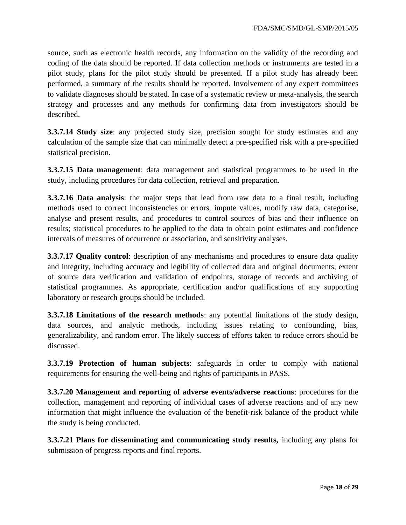source, such as electronic health records, any information on the validity of the recording and coding of the data should be reported. If data collection methods or instruments are tested in a pilot study, plans for the pilot study should be presented. If a pilot study has already been performed, a summary of the results should be reported. Involvement of any expert committees to validate diagnoses should be stated. In case of a systematic review or meta-analysis, the search strategy and processes and any methods for confirming data from investigators should be described.

**3.3.7.14 Study size**: any projected study size, precision sought for study estimates and any calculation of the sample size that can minimally detect a pre-specified risk with a pre-specified statistical precision.

**3.3.7.15 Data management**: data management and statistical programmes to be used in the study, including procedures for data collection, retrieval and preparation.

**3.3.7.16 Data analysis**: the major steps that lead from raw data to a final result, including methods used to correct inconsistencies or errors, impute values, modify raw data, categorise, analyse and present results, and procedures to control sources of bias and their influence on results; statistical procedures to be applied to the data to obtain point estimates and confidence intervals of measures of occurrence or association, and sensitivity analyses.

**3.3.7.17 Quality control**: description of any mechanisms and procedures to ensure data quality and integrity, including accuracy and legibility of collected data and original documents, extent of source data verification and validation of endpoints, storage of records and archiving of statistical programmes. As appropriate, certification and/or qualifications of any supporting laboratory or research groups should be included.

**3.3.7.18 Limitations of the research methods**: any potential limitations of the study design, data sources, and analytic methods, including issues relating to confounding, bias, generalizability, and random error. The likely success of efforts taken to reduce errors should be discussed.

**3.3.7.19 Protection of human subjects**: safeguards in order to comply with national requirements for ensuring the well-being and rights of participants in PASS.

**3.3.7.20 Management and reporting of adverse events/adverse reactions**: procedures for the collection, management and reporting of individual cases of adverse reactions and of any new information that might influence the evaluation of the benefit-risk balance of the product while the study is being conducted.

**3.3.7.21 Plans for disseminating and communicating study results,** including any plans for submission of progress reports and final reports.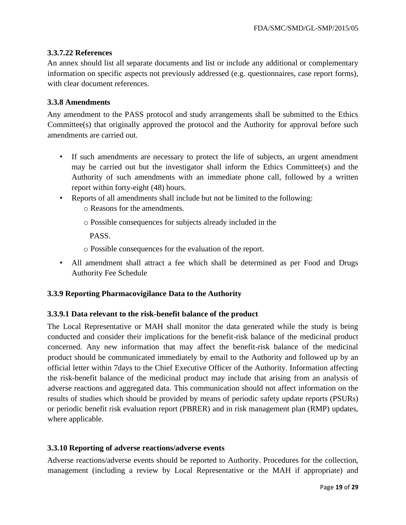#### **3.3.7.22 References**

An annex should list all separate documents and list or include any additional or complementary information on specific aspects not previously addressed (e.g. questionnaires, case report forms), with clear document references.

#### <span id="page-18-0"></span>**3.3.8 Amendments**

Any amendment to the PASS protocol and study arrangements shall be submitted to the Ethics Committee(s) that originally approved the protocol and the Authority for approval before such amendments are carried out.

- If such amendments are necessary to protect the life of subjects, an urgent amendment may be carried out but the investigator shall inform the Ethics Committee(s) and the Authority of such amendments with an immediate phone call, followed by a written report within forty-eight (48) hours.
- Reports of all amendments shall include but not be limited to the following:
	- o Reasons for the amendments.
	- o Possible consequences for subjects already included in the

PASS.

- o Possible consequences for the evaluation of the report.
- All amendment shall attract a fee which shall be determined as per Food and Drugs Authority Fee Schedule

#### <span id="page-18-1"></span>**3.3.9 Reporting Pharmacovigilance Data to the Authority**

#### **3.3.9.1 Data relevant to the risk-benefit balance of the product**

The Local Representative or MAH shall monitor the data generated while the study is being conducted and consider their implications for the benefit-risk balance of the medicinal product concerned. Any new information that may affect the benefit-risk balance of the medicinal product should be communicated immediately by email to the Authority and followed up by an official letter within 7days to the Chief Executive Officer of the Authority. Information affecting the risk-benefit balance of the medicinal product may include that arising from an analysis of adverse reactions and aggregated data. This communication should not affect information on the results of studies which should be provided by means of periodic safety update reports (PSURs) or periodic benefit risk evaluation report (PBRER) and in risk management plan (RMP) updates, where applicable.

#### <span id="page-18-2"></span>**3.3.10 Reporting of adverse reactions/adverse events**

Adverse reactions/adverse events should be reported to Authority. Procedures for the collection, management (including a review by Local Representative or the MAH if appropriate) and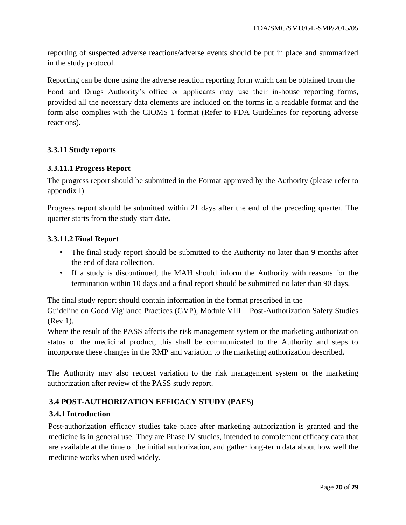reporting of suspected adverse reactions/adverse events should be put in place and summarized in the study protocol.

Reporting can be done using the adverse reaction reporting form which can be obtained from the Food and Drugs Authority's office or applicants may use their in-house reporting forms, provided all the necessary data elements are included on the forms in a readable format and the form also complies with the CIOMS 1 format (Refer to FDA Guidelines for reporting adverse reactions).

## <span id="page-19-0"></span>**3.3.11 Study reports**

## **3.3.11.1 Progress Report**

The progress report should be submitted in the Format approved by the Authority (please refer to appendix I).

Progress report should be submitted within 21 days after the end of the preceding quarter. The quarter starts from the study start date**.** 

## **3.3.11.2 Final Report**

- The final study report should be submitted to the Authority no later than 9 months after the end of data collection.
- If a study is discontinued, the MAH should inform the Authority with reasons for the termination within 10 days and a final report should be submitted no later than 90 days.

The final study report should contain information in the format prescribed in the

Guideline on Good Vigilance Practices (GVP), Module VIII – Post-Authorization Safety Studies (Rev 1).

Where the result of the PASS affects the risk management system or the marketing authorization status of the medicinal product, this shall be communicated to the Authority and steps to incorporate these changes in the RMP and variation to the marketing authorization described.

The Authority may also request variation to the risk management system or the marketing authorization after review of the PASS study report.

## <span id="page-19-1"></span>**3.4 POST-AUTHORIZATION EFFICACY STUDY (PAES)**

#### <span id="page-19-2"></span>**3.4.1 Introduction**

Post-authorization efficacy studies take place after marketing authorization is granted and the medicine is in general use. They are Phase IV studies, intended to complement efficacy data that are available at the time of the initial authorization, and gather long-term data about how well the medicine works when used widely.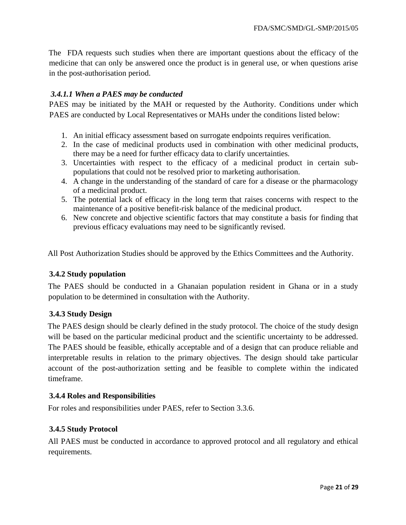The FDA requests such studies when there are important questions about the efficacy of the medicine that can only be answered once the product is in general use, or when questions arise in the post-authorisation period.

## <span id="page-20-0"></span>*3.4.1.1 When a PAES may be conducted*

PAES may be initiated by the MAH or requested by the Authority. Conditions under which PAES are conducted by Local Representatives or MAHs under the conditions listed below:

- 1. An initial efficacy assessment based on surrogate endpoints requires verification.
- 2. In the case of medicinal products used in combination with other medicinal products, there may be a need for further efficacy data to clarify uncertainties.
- 3. Uncertainties with respect to the efficacy of a medicinal product in certain subpopulations that could not be resolved prior to marketing authorisation.
- 4. A change in the understanding of the standard of care for a disease or the pharmacology of a medicinal product.
- 5. The potential lack of efficacy in the long term that raises concerns with respect to the maintenance of a positive benefit-risk balance of the medicinal product.
- 6. New concrete and objective scientific factors that may constitute a basis for finding that previous efficacy evaluations may need to be significantly revised.

All Post Authorization Studies should be approved by the Ethics Committees and the Authority.

#### <span id="page-20-1"></span>**3.4.2 Study population**

The PAES should be conducted in a Ghanaian population resident in Ghana or in a study population to be determined in consultation with the Authority.

#### <span id="page-20-2"></span>**3.4.3 Study Design**

The PAES design should be clearly defined in the study protocol. The choice of the study design will be based on the particular medicinal product and the scientific uncertainty to be addressed. The PAES should be feasible, ethically acceptable and of a design that can produce reliable and interpretable results in relation to the primary objectives. The design should take particular account of the post-authorization setting and be feasible to complete within the indicated timeframe.

#### <span id="page-20-3"></span>**3.4.4 Roles and Responsibilities**

For roles and responsibilities under PAES, refer to Section 3.3.6.

#### <span id="page-20-4"></span>**3.4.5 Study Protocol**

All PAES must be conducted in accordance to approved protocol and all regulatory and ethical requirements.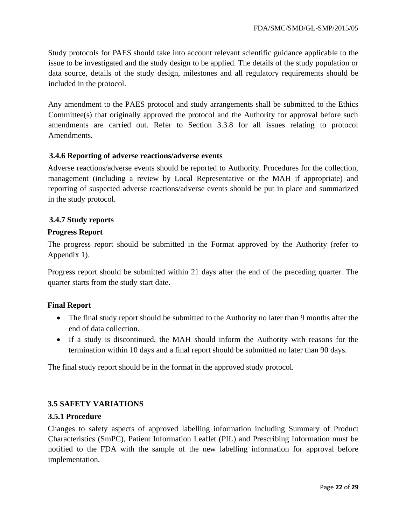Study protocols for PAES should take into account relevant scientific guidance applicable to the issue to be investigated and the study design to be applied. The details of the study population or data source, details of the study design, milestones and all regulatory requirements should be included in the protocol.

Any amendment to the PAES protocol and study arrangements shall be submitted to the Ethics Committee(s) that originally approved the protocol and the Authority for approval before such amendments are carried out. Refer to Section 3.3.8 for all issues relating to protocol Amendments.

#### <span id="page-21-0"></span>**3.4.6 Reporting of adverse reactions/adverse events**

Adverse reactions/adverse events should be reported to Authority. Procedures for the collection, management (including a review by Local Representative or the MAH if appropriate) and reporting of suspected adverse reactions/adverse events should be put in place and summarized in the study protocol.

#### <span id="page-21-1"></span>**3.4.7 Study reports**

#### **Progress Report**

The progress report should be submitted in the Format approved by the Authority (refer to Appendix 1).

Progress report should be submitted within 21 days after the end of the preceding quarter. The quarter starts from the study start date**.**

#### **Final Report**

- The final study report should be submitted to the Authority no later than 9 months after the end of data collection.
- If a study is discontinued, the MAH should inform the Authority with reasons for the termination within 10 days and a final report should be submitted no later than 90 days.

The final study report should be in the format in the approved study protocol.

#### <span id="page-21-2"></span>**3.5 SAFETY VARIATIONS**

#### <span id="page-21-3"></span>**3.5.1 Procedure**

Changes to safety aspects of approved labelling information including Summary of Product Characteristics (SmPC), Patient Information Leaflet (PIL) and Prescribing Information must be notified to the FDA with the sample of the new labelling information for approval before implementation.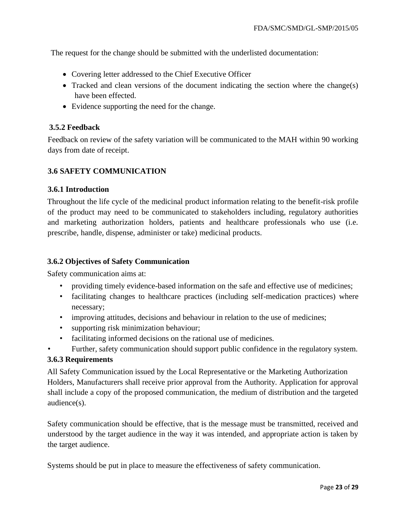The request for the change should be submitted with the underlisted documentation:

- Covering letter addressed to the Chief Executive Officer
- Tracked and clean versions of the document indicating the section where the change(s) have been effected.
- Evidence supporting the need for the change.

#### <span id="page-22-0"></span>**3.5.2 Feedback**

Feedback on review of the safety variation will be communicated to the MAH within 90 working days from date of receipt.

## <span id="page-22-1"></span>**3.6 SAFETY COMMUNICATION**

#### <span id="page-22-2"></span>**3.6.1 Introduction**

Throughout the life cycle of the medicinal product information relating to the benefit-risk profile of the product may need to be communicated to stakeholders including, regulatory authorities and marketing authorization holders, patients and healthcare professionals who use (i.e. prescribe, handle, dispense, administer or take) medicinal products.

#### <span id="page-22-3"></span>**3.6.2 Objectives of Safety Communication**

Safety communication aims at:

- providing timely evidence-based information on the safe and effective use of medicines;
- facilitating changes to healthcare practices (including self-medication practices) where necessary;
- improving attitudes, decisions and behaviour in relation to the use of medicines;
- supporting risk minimization behaviour;
- facilitating informed decisions on the rational use of medicines.
- Further, safety communication should support public confidence in the regulatory system.

#### <span id="page-22-4"></span>**3.6.3 Requirements**

All Safety Communication issued by the Local Representative or the Marketing Authorization Holders, Manufacturers shall receive prior approval from the Authority. Application for approval shall include a copy of the proposed communication, the medium of distribution and the targeted audience(s).

Safety communication should be effective, that is the message must be transmitted, received and understood by the target audience in the way it was intended, and appropriate action is taken by the target audience.

Systems should be put in place to measure the effectiveness of safety communication.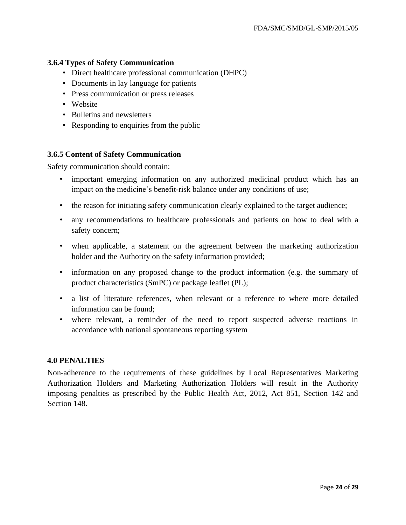## <span id="page-23-0"></span>**3.6.4 Types of Safety Communication**

- Direct healthcare professional communication (DHPC)
- Documents in lay language for patients
- Press communication or press releases
- Website
- Bulletins and newsletters
- Responding to enquiries from the public

#### <span id="page-23-1"></span>**3.6.5 Content of Safety Communication**

Safety communication should contain:

- important emerging information on any authorized medicinal product which has an impact on the medicine's benefit-risk balance under any conditions of use;
- the reason for initiating safety communication clearly explained to the target audience;
- any recommendations to healthcare professionals and patients on how to deal with a safety concern;
- when applicable, a statement on the agreement between the marketing authorization holder and the Authority on the safety information provided;
- information on any proposed change to the product information (e.g. the summary of product characteristics (SmPC) or package leaflet (PL);
- a list of literature references, when relevant or a reference to where more detailed information can be found;
- where relevant, a reminder of the need to report suspected adverse reactions in accordance with national spontaneous reporting system

#### <span id="page-23-2"></span>**4.0 PENALTIES**

Non-adherence to the requirements of these guidelines by Local Representatives Marketing Authorization Holders and Marketing Authorization Holders will result in the Authority imposing penalties as prescribed by the Public Health Act, 2012, Act 851, Section 142 and Section 148.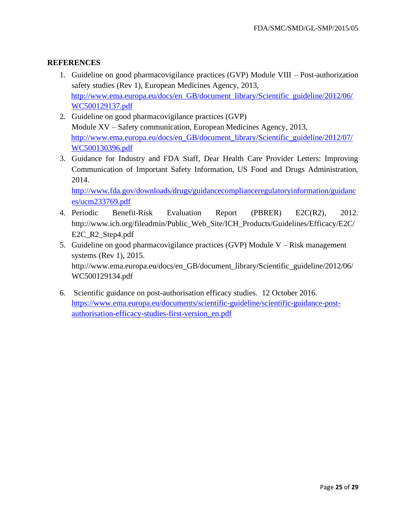## <span id="page-24-0"></span>**REFERENCES**

- 1. Guideline on good pharmacovigilance practices (GVP) Module VIII Post-authorization safety studies (Rev 1), European Medicines Agency, 2013, [http://www.ema.europa.eu/docs/en\\_GB/document\\_library/Scientific\\_guideline/2012/06/](http://www.ema.europa.eu/docs/en_GB/document_library/Scientific_guideline/2012/06/WC500129137.pdf)  [WC500129137.pdf](http://www.ema.europa.eu/docs/en_GB/document_library/Scientific_guideline/2012/06/WC500129137.pdf)
- 2. Guideline on good pharmacovigilance practices (GVP) Module XV – Safety communication, European Medicines Agency, 2013, [http://www.ema.europa.eu/docs/en\\_GB/document\\_library/Scientific\\_guideline/2012/07/](http://www.ema.europa.eu/docs/en_GB/document_library/Scientific_guideline/2012/07/WC500130396.pdf)  [WC500130396.pdf](http://www.ema.europa.eu/docs/en_GB/document_library/Scientific_guideline/2012/07/WC500130396.pdf)
- 3. Guidance for Industry and FDA Staff, Dear Health Care Provider Letters: Improving Communication of Important Safety Information, US Food and Drugs Administration, 2014.

[http://www.fda.gov/downloads/drugs/guidancecomplianceregulatoryinformation/guidanc](http://www.fda.gov/downloads/drugs/guidancecomplianceregulatoryinformation/guidances/ucm233769.pdf)  [es/ucm233769.pdf](http://www.fda.gov/downloads/drugs/guidancecomplianceregulatoryinformation/guidances/ucm233769.pdf)

- 4. Periodic Benefit-Risk Evaluation Report (PBRER) E2C(R2), 2012. http://www.ich.org/fileadmin/Public\_Web\_Site/ICH\_Products/Guidelines/Efficacy/E2C/ E2C\_R2\_Step4.pdf
- 5. Guideline on good pharmacovigilance practices (GVP) Module V Risk management systems (Rev 1), 2015. http://www.ema.europa.eu/docs/en\_GB/document\_library/Scientific\_guideline/2012/06/ WC500129134.pdf
- 6. Scientific guidance on post-authorisation efficacy studies. 12 October 2016. [https://www.ema.europa.eu/documents/scientific-guideline/scientific-guidance-post](https://www.ema.europa.eu/documents/scientific-guideline/scientific-guidance-post-authorisation-efficacy-studies-first-version_en.pdf)[authorisation-efficacy-studies-first-version\\_en.pdf](https://www.ema.europa.eu/documents/scientific-guideline/scientific-guidance-post-authorisation-efficacy-studies-first-version_en.pdf)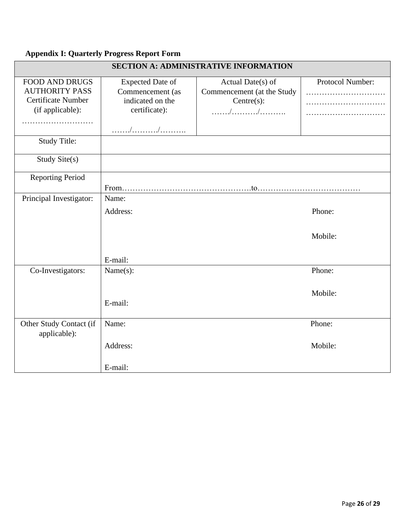#### <span id="page-25-0"></span>**Appendix I: Quarterly Progress Report Form**

| <b>SECTION A: ADMINISTRATIVE INFORMATION</b>                                                         |                                                                                           |                                                                        |                   |
|------------------------------------------------------------------------------------------------------|-------------------------------------------------------------------------------------------|------------------------------------------------------------------------|-------------------|
| <b>FOOD AND DRUGS</b><br><b>AUTHORITY PASS</b><br><b>Certificate Number</b><br>(if applicable):<br>. | <b>Expected Date of</b><br>Commencement (as<br>indicated on the<br>certificate):<br>. / / | Actual Date(s) of<br>Commencement (at the Study<br>Centre(s):<br>. / / | Protocol Number:  |
| <b>Study Title:</b>                                                                                  |                                                                                           |                                                                        |                   |
| Study Site(s)                                                                                        |                                                                                           |                                                                        |                   |
| <b>Reporting Period</b>                                                                              |                                                                                           |                                                                        |                   |
| Principal Investigator:                                                                              | Name:<br>Address:                                                                         |                                                                        | Phone:<br>Mobile: |
|                                                                                                      | E-mail:                                                                                   |                                                                        |                   |
| Co-Investigators:                                                                                    | Name(s):<br>E-mail:                                                                       |                                                                        | Phone:<br>Mobile: |
|                                                                                                      |                                                                                           |                                                                        |                   |
| Other Study Contact (if<br>applicable):                                                              | Name:                                                                                     |                                                                        | Phone:            |
|                                                                                                      | Address:                                                                                  |                                                                        | Mobile:           |
|                                                                                                      | E-mail:                                                                                   |                                                                        |                   |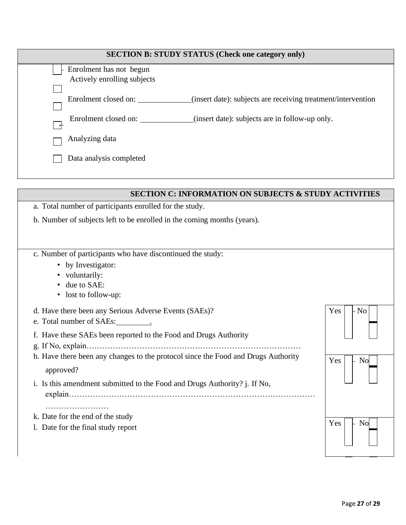| <b>SECTION B: STUDY STATUS (Check one category only)</b> |                                                              |  |  |
|----------------------------------------------------------|--------------------------------------------------------------|--|--|
| Enrolment has not begun                                  |                                                              |  |  |
| Actively enrolling subjects                              |                                                              |  |  |
|                                                          |                                                              |  |  |
| Enrolment closed on:                                     | (insert date): subjects are receiving treatment/intervention |  |  |
| Enrolment closed on:                                     | (insert date): subjects are in follow-up only.               |  |  |
| Analyzing data                                           |                                                              |  |  |
| Data analysis completed                                  |                                                              |  |  |
|                                                          |                                                              |  |  |

| <b>SECTION C: INFORMATION ON SUBJECTS &amp; STUDY ACTIVIT</b>                     |                       |
|-----------------------------------------------------------------------------------|-----------------------|
| a. Total number of participants enrolled for the study.                           |                       |
| b. Number of subjects left to be enrolled in the coming months (years).           |                       |
|                                                                                   |                       |
| c. Number of participants who have discontinued the study:                        |                       |
| • by Investigator:                                                                |                       |
| • voluntarily:                                                                    |                       |
| due to SAE:<br>$\bullet$                                                          |                       |
| • lost to follow-up:                                                              |                       |
| d. Have there been any Serious Adverse Events (SAEs)?                             | Yes<br>- No I         |
|                                                                                   |                       |
| f. Have these SAEs been reported to the Food and Drugs Authority                  |                       |
|                                                                                   |                       |
| h. Have there been any changes to the protocol since the Food and Drugs Authority | Yes<br>N <sub>0</sub> |
| approved?                                                                         |                       |
| i. Is this amendment submitted to the Food and Drugs Authority? j. If No,         |                       |
|                                                                                   |                       |
|                                                                                   |                       |
| k. Date for the end of the study                                                  |                       |
| 1. Date for the final study report                                                | Yes<br>No             |
|                                                                                   |                       |
|                                                                                   |                       |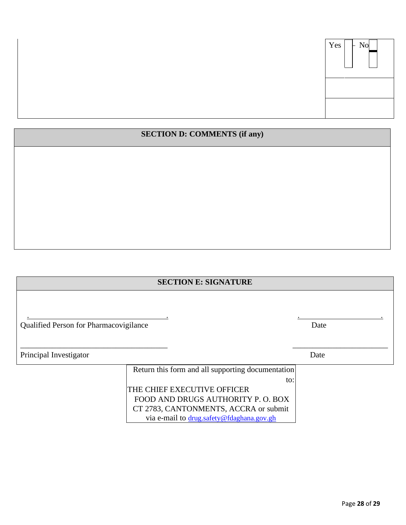

## **SECTION D: COMMENTS (if any)**

# **SECTION E: SIGNATURE**

. . . .

\_\_\_\_\_\_\_\_\_\_\_\_\_\_\_\_\_\_\_\_\_\_\_\_\_\_\_\_\_\_\_\_\_\_\_\_\_ \_\_\_\_\_\_\_\_\_\_\_\_\_\_\_\_\_\_\_\_\_\_\_\_

|  | Qualified Person for Pharmacovigilance | Date |
|--|----------------------------------------|------|

Principal Investigator Date

Return this form and all supporting documentation to: THE CHIEF EXECUTIVE OFFICER FOOD AND DRUGS AUTHORITY P. O. BOX CT 2783, CANTONMENTS, ACCRA or submit via e-mail to drug.safety@fdaghana.gov.gh